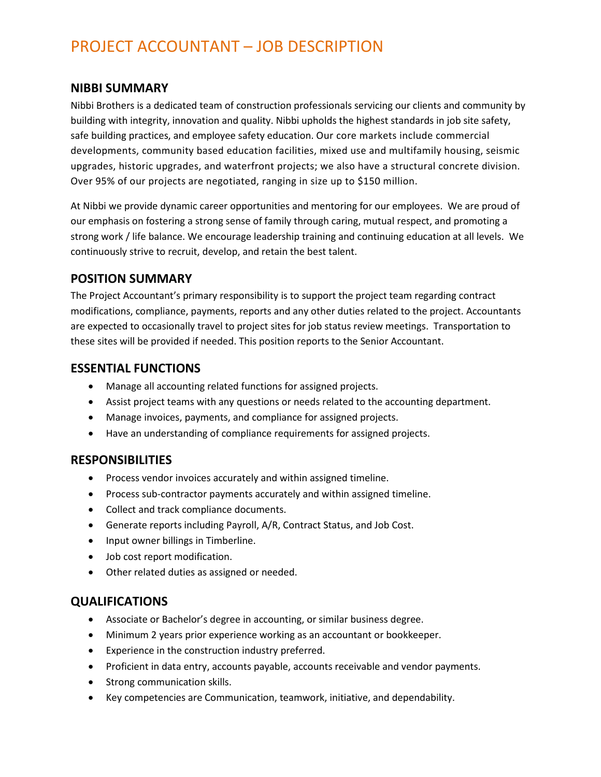# PROJECT ACCOUNTANT – JOB DESCRIPTION

#### **NIBBI SUMMARY**

Nibbi Brothers is a dedicated team of construction professionals servicing our clients and community by building with integrity, innovation and quality. Nibbi upholds the highest standards in job site safety, safe building practices, and employee safety education. Our core markets include commercial developments, community based education facilities, mixed use and multifamily housing, seismic upgrades, historic upgrades, and waterfront projects; we also have a structural concrete division. Over 95% of our projects are negotiated, ranging in size up to \$150 million.

At Nibbi we provide dynamic career opportunities and mentoring for our employees. We are proud of our emphasis on fostering a strong sense of family through caring, mutual respect, and promoting a strong work / life balance. We encourage leadership training and continuing education at all levels. We continuously strive to recruit, develop, and retain the best talent.

### **POSITION SUMMARY**

The Project Accountant's primary responsibility is to support the project team regarding contract modifications, compliance, payments, reports and any other duties related to the project. Accountants are expected to occasionally travel to project sites for job status review meetings. Transportation to these sites will be provided if needed. This position reports to the Senior Accountant.

### **ESSENTIAL FUNCTIONS**

- Manage all accounting related functions for assigned projects.
- Assist project teams with any questions or needs related to the accounting department.
- Manage invoices, payments, and compliance for assigned projects.
- Have an understanding of compliance requirements for assigned projects.

#### **RESPONSIBILITIES**

- Process vendor invoices accurately and within assigned timeline.
- Process sub-contractor payments accurately and within assigned timeline.
- Collect and track compliance documents.
- Generate reports including Payroll, A/R, Contract Status, and Job Cost.
- Input owner billings in Timberline.
- Job cost report modification.
- Other related duties as assigned or needed.

#### **QUALIFICATIONS**

- Associate or Bachelor's degree in accounting, or similar business degree.
- Minimum 2 years prior experience working as an accountant or bookkeeper.
- Experience in the construction industry preferred.
- Proficient in data entry, accounts payable, accounts receivable and vendor payments.
- Strong communication skills.
- Key competencies are Communication, teamwork, initiative, and dependability.